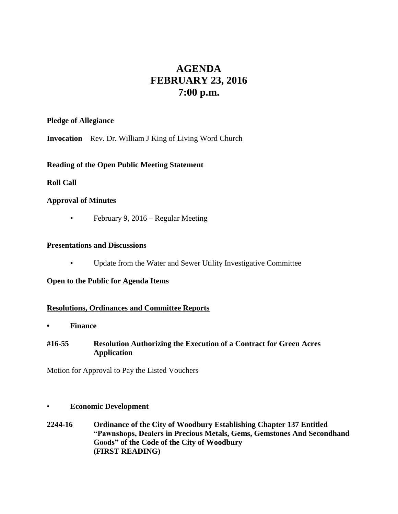# **AGENDA FEBRUARY 23, 2016 7:00 p.m.**

# **Pledge of Allegiance**

**Invocation** – Rev. Dr. William J King of Living Word Church

# **Reading of the Open Public Meeting Statement**

# **Roll Call**

# **Approval of Minutes**

**•** February 9, 2016 – Regular Meeting

#### **Presentations and Discussions**

▪ Update from the Water and Sewer Utility Investigative Committee

#### **Open to the Public for Agenda Items**

# **Resolutions, Ordinances and Committee Reports**

**• Finance** 

# **#16-55 Resolution Authorizing the Execution of a Contract for Green Acres Application**

Motion for Approval to Pay the Listed Vouchers

#### • **Economic Development**

**2244-16 Ordinance of the City of Woodbury Establishing Chapter 137 Entitled "Pawnshops, Dealers in Precious Metals, Gems, Gemstones And Secondhand Goods" of the Code of the City of Woodbury (FIRST READING)**